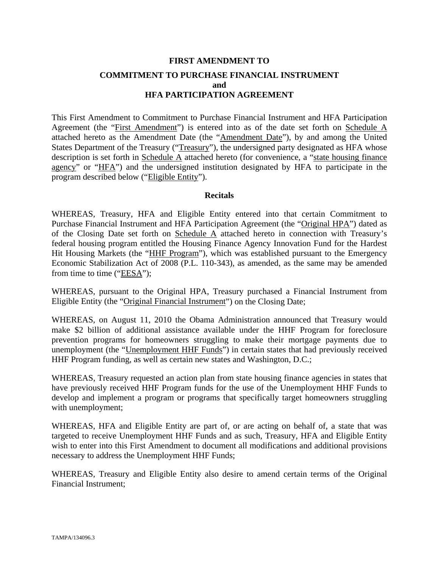## **FIRST AMENDMENT TO COMMITMENT TO PURCHASE FINANCIAL INSTRUMENT and HFA PARTICIPATION AGREEMENT**

This First Amendment to Commitment to Purchase Financial Instrument and HFA Participation Agreement (the "First Amendment") is entered into as of the date set forth on Schedule A attached hereto as the Amendment Date (the "Amendment Date"), by and among the United States Department of the Treasury ("Treasury"), the undersigned party designated as HFA whose description is set forth in Schedule A attached hereto (for convenience, a "state housing finance agency" or "HFA") and the undersigned institution designated by HFA to participate in the program described below ("Eligible Entity").

#### **Recitals**

WHEREAS, Treasury, HFA and Eligible Entity entered into that certain Commitment to Purchase Financial Instrument and HFA Participation Agreement (the "Original HPA") dated as of the Closing Date set forth on Schedule A attached hereto in connection with Treasury's federal housing program entitled the Housing Finance Agency Innovation Fund for the Hardest Hit Housing Markets (the "HHF Program"), which was established pursuant to the Emergency Economic Stabilization Act of 2008 (P.L. 110-343), as amended, as the same may be amended from time to time ("EESA");

WHEREAS, pursuant to the Original HPA, Treasury purchased a Financial Instrument from Eligible Entity (the "Original Financial Instrument") on the Closing Date;

WHEREAS, on August 11, 2010 the Obama Administration announced that Treasury would make \$2 billion of additional assistance available under the HHF Program for foreclosure prevention programs for homeowners struggling to make their mortgage payments due to unemployment (the "Unemployment HHF Funds") in certain states that had previously received HHF Program funding, as well as certain new states and Washington, D.C.;

WHEREAS, Treasury requested an action plan from state housing finance agencies in states that have previously received HHF Program funds for the use of the Unemployment HHF Funds to develop and implement a program or programs that specifically target homeowners struggling with unemployment;

WHEREAS, HFA and Eligible Entity are part of, or are acting on behalf of, a state that was targeted to receive Unemployment HHF Funds and as such, Treasury, HFA and Eligible Entity wish to enter into this First Amendment to document all modifications and additional provisions necessary to address the Unemployment HHF Funds;

WHEREAS, Treasury and Eligible Entity also desire to amend certain terms of the Original Financial Instrument;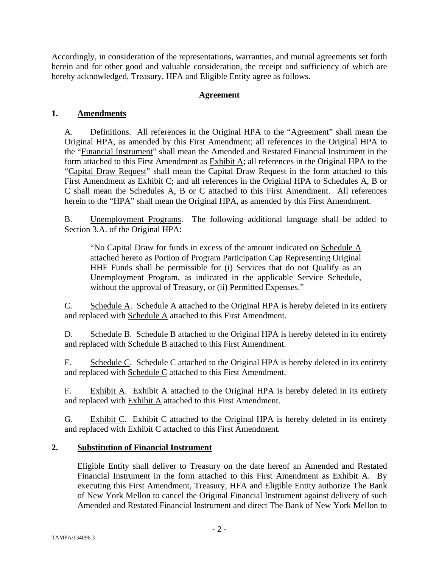Accordingly, in consideration of the representations, warranties, and mutual agreements set forth herein and for other good and valuable consideration, the receipt and sufficiency of which are hereby acknowledged, Treasury, HFA and Eligible Entity agree as follows.

### **Agreement**

### **1. Amendments**

A. Definitions. All references in the Original HPA to the "Agreement" shall mean the Original HPA, as amended by this First Amendment; all references in the Original HPA to the "Financial Instrument" shall mean the Amended and Restated Financial Instrument in the form attached to this First Amendment as Exhibit A; all references in the Original HPA to the "Capital Draw Request" shall mean the Capital Draw Request in the form attached to this First Amendment as Exhibit C; and all references in the Original HPA to Schedules A, B or C shall mean the Schedules A, B or C attached to this First Amendment. All references herein to the "HPA" shall mean the Original HPA, as amended by this First Amendment.

B. Unemployment Programs. The following additional language shall be added to Section 3.A. of the Original HPA:

"No Capital Draw for funds in excess of the amount indicated on Schedule A attached hereto as Portion of Program Participation Cap Representing Original HHF Funds shall be permissible for (i) Services that do not Qualify as an Unemployment Program, as indicated in the applicable Service Schedule, without the approval of Treasury, or (ii) Permitted Expenses."

C. Schedule A. Schedule A attached to the Original HPA is hereby deleted in its entirety and replaced with Schedule A attached to this First Amendment.

D. Schedule B. Schedule B attached to the Original HPA is hereby deleted in its entirety and replaced with Schedule B attached to this First Amendment.

E. Schedule C. Schedule C attached to the Original HPA is hereby deleted in its entirety and replaced with Schedule C attached to this First Amendment.

F. Exhibit A. Exhibit A attached to the Original HPA is hereby deleted in its entirety and replaced with **Exhibit A** attached to this First Amendment.

G. Exhibit C. Exhibit C attached to the Original HPA is hereby deleted in its entirety and replaced with **Exhibit C** attached to this First Amendment.

## **2. Substitution of Financial Instrument**

Eligible Entity shall deliver to Treasury on the date hereof an Amended and Restated Financial Instrument in the form attached to this First Amendment as Exhibit A. By executing this First Amendment, Treasury, HFA and Eligible Entity authorize The Bank of New York Mellon to cancel the Original Financial Instrument against delivery of such Amended and Restated Financial Instrument and direct The Bank of New York Mellon to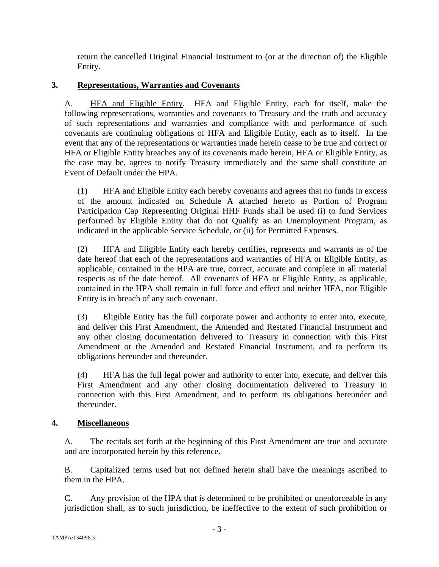return the cancelled Original Financial Instrument to (or at the direction of) the Eligible Entity.

## **3. Representations, Warranties and Covenants**

A. HFA and Eligible Entity. HFA and Eligible Entity, each for itself, make the following representations, warranties and covenants to Treasury and the truth and accuracy of such representations and warranties and compliance with and performance of such covenants are continuing obligations of HFA and Eligible Entity, each as to itself. In the event that any of the representations or warranties made herein cease to be true and correct or HFA or Eligible Entity breaches any of its covenants made herein, HFA or Eligible Entity, as the case may be, agrees to notify Treasury immediately and the same shall constitute an Event of Default under the HPA.

(1) HFA and Eligible Entity each hereby covenants and agrees that no funds in excess of the amount indicated on Schedule A attached hereto as Portion of Program Participation Cap Representing Original HHF Funds shall be used (i) to fund Services performed by Eligible Entity that do not Qualify as an Unemployment Program, as indicated in the applicable Service Schedule, or (ii) for Permitted Expenses.

(2) HFA and Eligible Entity each hereby certifies, represents and warrants as of the date hereof that each of the representations and warranties of HFA or Eligible Entity, as applicable, contained in the HPA are true, correct, accurate and complete in all material respects as of the date hereof. All covenants of HFA or Eligible Entity, as applicable, contained in the HPA shall remain in full force and effect and neither HFA, nor Eligible Entity is in breach of any such covenant.

(3) Eligible Entity has the full corporate power and authority to enter into, execute, and deliver this First Amendment, the Amended and Restated Financial Instrument and any other closing documentation delivered to Treasury in connection with this First Amendment or the Amended and Restated Financial Instrument, and to perform its obligations hereunder and thereunder.

(4) HFA has the full legal power and authority to enter into, execute, and deliver this First Amendment and any other closing documentation delivered to Treasury in connection with this First Amendment, and to perform its obligations hereunder and thereunder.

## **4. Miscellaneous**

A. The recitals set forth at the beginning of this First Amendment are true and accurate and are incorporated herein by this reference.

B. Capitalized terms used but not defined herein shall have the meanings ascribed to them in the HPA.

C. Any provision of the HPA that is determined to be prohibited or unenforceable in any jurisdiction shall, as to such jurisdiction, be ineffective to the extent of such prohibition or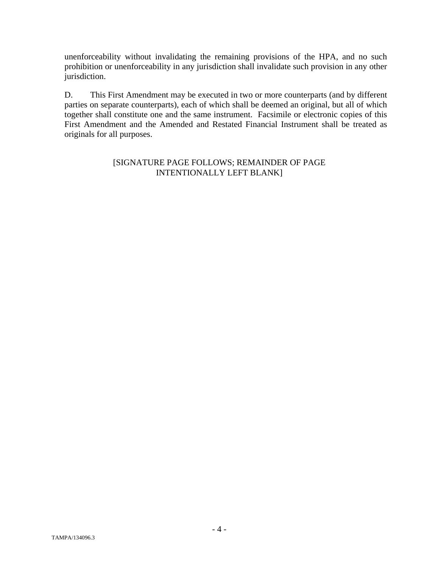unenforceability without invalidating the remaining provisions of the HPA, and no such prohibition or unenforceability in any jurisdiction shall invalidate such provision in any other jurisdiction.

D. This First Amendment may be executed in two or more counterparts (and by different parties on separate counterparts), each of which shall be deemed an original, but all of which together shall constitute one and the same instrument. Facsimile or electronic copies of this First Amendment and the Amended and Restated Financial Instrument shall be treated as originals for all purposes.

### [SIGNATURE PAGE FOLLOWS; REMAINDER OF PAGE INTENTIONALLY LEFT BLANK]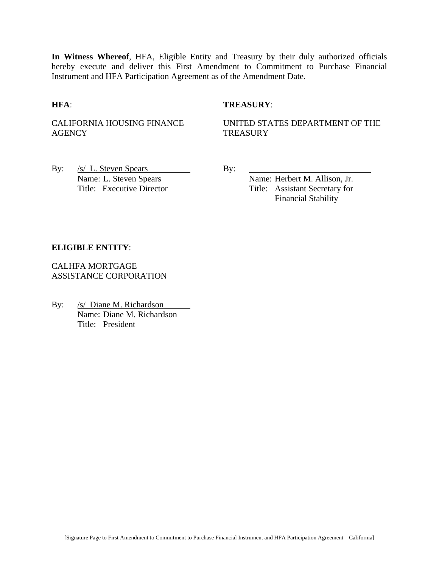**In Witness Whereof**, HFA, Eligible Entity and Treasury by their duly authorized officials hereby execute and deliver this First Amendment to Commitment to Purchase Financial Instrument and HFA Participation Agreement as of the Amendment Date.

#### **HFA**: **TREASURY**:

CALIFORNIA HOUSING FINANCE **AGENCY** 

UNITED STATES DEPARTMENT OF THE **TREASURY** 

By:  $/s/L$ . Steven Spears By: Name: L. Steven Spears Name: Herbert M. Allison, Jr.

Title: Executive Director Title: Assistant Secretary for Financial Stability

#### **ELIGIBLE ENTITY**:

CALHFA MORTGAGE ASSISTANCE CORPORATION

By: /s/ Diane M. Richardson Name: Diane M. Richardson Title: President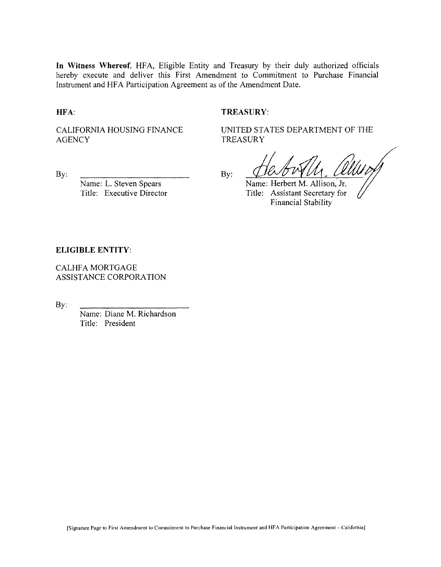**In Witness Whereof,** HFA, Eligible Entity and Treasury by their duly authorized officials hereby execute and deliver this First Amendment to Commitment to Purchase Financial Instrument and HFA Participation Agreement as of the Amendment Date.

**HFA:**

#### **TREASURY:**

CALIFORNIA HOUSING FINANCE **AGENCY** 

By:

Name: L. Steven Spears Title: Executive Director UNITED STATES DEPARTMENT OF THE **TREASURY** 

By:

Name: Herbert M. Allison, Jr. Title: Assistant Secretary for **Financial Stability** 

#### **ELIGIBLE ENTITY:**

CALHFA MORTGAGE ASSISTANCE CORPORATION

By:

Name: Diane M. Richardson Title: President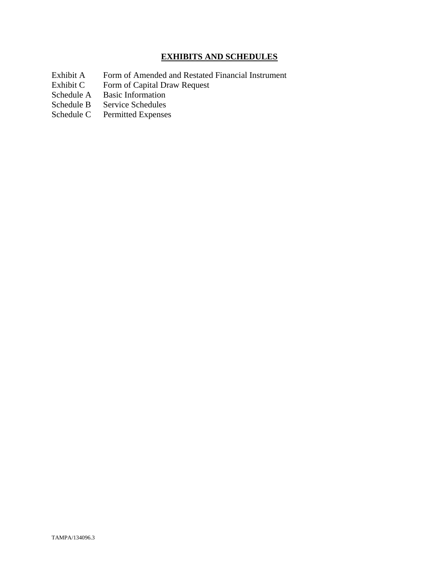## **EXHIBITS AND SCHEDULES**

- Exhibit A Form of Amended and Restated Financial Instrument<br>Exhibit C Form of Capital Draw Request
- Exhibit C Form of Capital Draw Request<br>Schedule A Basic Information
- Schedule A Basic Information<br>Schedule B Service Schedules
- Service Schedules
- Schedule C Permitted Expenses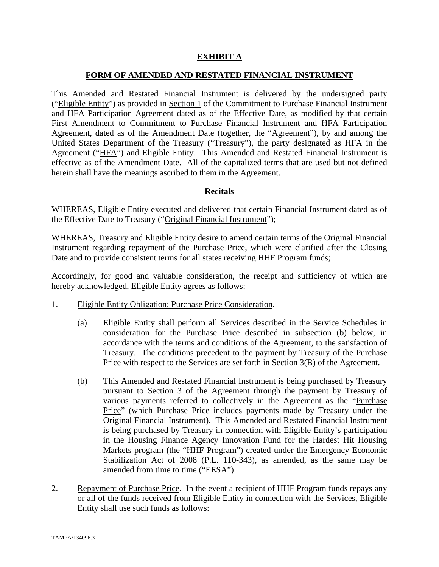## **EXHIBIT A**

#### **FORM OF AMENDED AND RESTATED FINANCIAL INSTRUMENT**

This Amended and Restated Financial Instrument is delivered by the undersigned party ("Eligible Entity") as provided in Section 1 of the Commitment to Purchase Financial Instrument and HFA Participation Agreement dated as of the Effective Date, as modified by that certain First Amendment to Commitment to Purchase Financial Instrument and HFA Participation Agreement, dated as of the Amendment Date (together, the "Agreement"), by and among the United States Department of the Treasury ("Treasury"), the party designated as HFA in the Agreement ("HFA") and Eligible Entity. This Amended and Restated Financial Instrument is effective as of the Amendment Date. All of the capitalized terms that are used but not defined herein shall have the meanings ascribed to them in the Agreement.

#### **Recitals**

WHEREAS, Eligible Entity executed and delivered that certain Financial Instrument dated as of the Effective Date to Treasury ("Original Financial Instrument");

WHEREAS, Treasury and Eligible Entity desire to amend certain terms of the Original Financial Instrument regarding repayment of the Purchase Price, which were clarified after the Closing Date and to provide consistent terms for all states receiving HHF Program funds;

Accordingly, for good and valuable consideration, the receipt and sufficiency of which are hereby acknowledged, Eligible Entity agrees as follows:

- 1. Eligible Entity Obligation; Purchase Price Consideration.
	- (a) Eligible Entity shall perform all Services described in the Service Schedules in consideration for the Purchase Price described in subsection (b) below, in accordance with the terms and conditions of the Agreement, to the satisfaction of Treasury. The conditions precedent to the payment by Treasury of the Purchase Price with respect to the Services are set forth in Section 3(B) of the Agreement.
	- (b) This Amended and Restated Financial Instrument is being purchased by Treasury pursuant to Section 3 of the Agreement through the payment by Treasury of various payments referred to collectively in the Agreement as the "Purchase Price" (which Purchase Price includes payments made by Treasury under the Original Financial Instrument). This Amended and Restated Financial Instrument is being purchased by Treasury in connection with Eligible Entity's participation in the Housing Finance Agency Innovation Fund for the Hardest Hit Housing Markets program (the "HHF Program") created under the Emergency Economic Stabilization Act of 2008 (P.L. 110-343), as amended, as the same may be amended from time to time ("EESA").
- 2. Repayment of Purchase Price. In the event a recipient of HHF Program funds repays any or all of the funds received from Eligible Entity in connection with the Services, Eligible Entity shall use such funds as follows: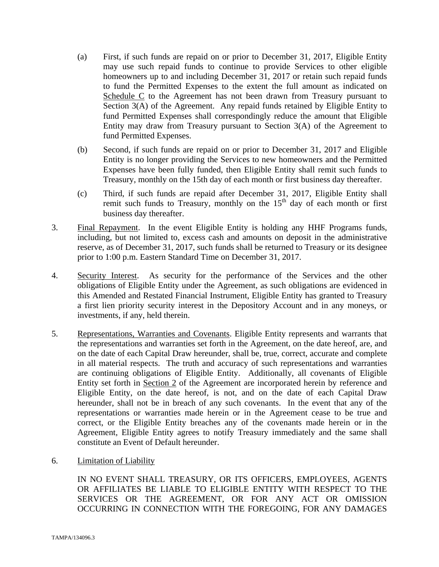- (a) First, if such funds are repaid on or prior to December 31, 2017, Eligible Entity may use such repaid funds to continue to provide Services to other eligible homeowners up to and including December 31, 2017 or retain such repaid funds to fund the Permitted Expenses to the extent the full amount as indicated on Schedule C to the Agreement has not been drawn from Treasury pursuant to Section 3(A) of the Agreement. Any repaid funds retained by Eligible Entity to fund Permitted Expenses shall correspondingly reduce the amount that Eligible Entity may draw from Treasury pursuant to Section 3(A) of the Agreement to fund Permitted Expenses.
- (b) Second, if such funds are repaid on or prior to December 31, 2017 and Eligible Entity is no longer providing the Services to new homeowners and the Permitted Expenses have been fully funded, then Eligible Entity shall remit such funds to Treasury, monthly on the 15th day of each month or first business day thereafter.
- (c) Third, if such funds are repaid after December 31, 2017, Eligible Entity shall remit such funds to Treasury, monthly on the  $15<sup>th</sup>$  day of each month or first business day thereafter.
- 3. Final Repayment. In the event Eligible Entity is holding any HHF Programs funds, including, but not limited to, excess cash and amounts on deposit in the administrative reserve, as of December 31, 2017, such funds shall be returned to Treasury or its designee prior to 1:00 p.m. Eastern Standard Time on December 31, 2017.
- 4. Security Interest. As security for the performance of the Services and the other obligations of Eligible Entity under the Agreement, as such obligations are evidenced in this Amended and Restated Financial Instrument, Eligible Entity has granted to Treasury a first lien priority security interest in the Depository Account and in any moneys, or investments, if any, held therein.
- 5. Representations, Warranties and Covenants. Eligible Entity represents and warrants that the representations and warranties set forth in the Agreement, on the date hereof, are, and on the date of each Capital Draw hereunder, shall be, true, correct, accurate and complete in all material respects. The truth and accuracy of such representations and warranties are continuing obligations of Eligible Entity. Additionally, all covenants of Eligible Entity set forth in Section 2 of the Agreement are incorporated herein by reference and Eligible Entity, on the date hereof, is not, and on the date of each Capital Draw hereunder, shall not be in breach of any such covenants. In the event that any of the representations or warranties made herein or in the Agreement cease to be true and correct, or the Eligible Entity breaches any of the covenants made herein or in the Agreement, Eligible Entity agrees to notify Treasury immediately and the same shall constitute an Event of Default hereunder.
- 6. Limitation of Liability

IN NO EVENT SHALL TREASURY, OR ITS OFFICERS, EMPLOYEES, AGENTS OR AFFILIATES BE LIABLE TO ELIGIBLE ENTITY WITH RESPECT TO THE SERVICES OR THE AGREEMENT, OR FOR ANY ACT OR OMISSION OCCURRING IN CONNECTION WITH THE FOREGOING, FOR ANY DAMAGES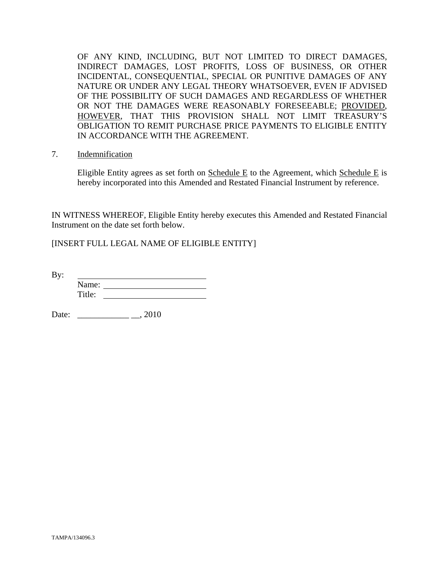OF ANY KIND, INCLUDING, BUT NOT LIMITED TO DIRECT DAMAGES, INDIRECT DAMAGES, LOST PROFITS, LOSS OF BUSINESS, OR OTHER INCIDENTAL, CONSEQUENTIAL, SPECIAL OR PUNITIVE DAMAGES OF ANY NATURE OR UNDER ANY LEGAL THEORY WHATSOEVER, EVEN IF ADVISED OF THE POSSIBILITY OF SUCH DAMAGES AND REGARDLESS OF WHETHER OR NOT THE DAMAGES WERE REASONABLY FORESEEABLE; PROVIDED, HOWEVER, THAT THIS PROVISION SHALL NOT LIMIT TREASURY'S OBLIGATION TO REMIT PURCHASE PRICE PAYMENTS TO ELIGIBLE ENTITY IN ACCORDANCE WITH THE AGREEMENT.

7. Indemnification

Eligible Entity agrees as set forth on Schedule E to the Agreement, which Schedule E is hereby incorporated into this Amended and Restated Financial Instrument by reference.

IN WITNESS WHEREOF, Eligible Entity hereby executes this Amended and Restated Financial Instrument on the date set forth below.

[INSERT FULL LEGAL NAME OF ELIGIBLE ENTITY]

By: Name: Title:

Date: \_\_\_\_\_\_\_\_\_\_\_\_ \_\_, 2010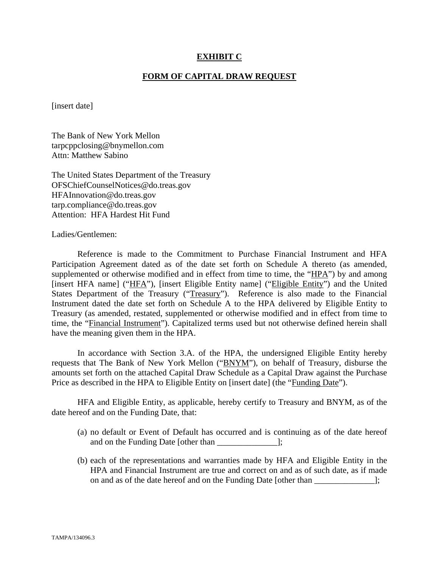#### **EXHIBIT C**

#### **FORM OF CAPITAL DRAW REQUEST**

[insert date]

The Bank of New York Mellon tarpcppclosing@bnymellon.com Attn: Matthew Sabino

The United States Department of the Treasury OFSChiefCounselNotices@do.treas.gov HFAInnovation@do.treas.gov tarp.compliance@do.treas.gov Attention: HFA Hardest Hit Fund

Ladies/Gentlemen:

 Reference is made to the Commitment to Purchase Financial Instrument and HFA Participation Agreement dated as of the date set forth on Schedule A thereto (as amended, supplemented or otherwise modified and in effect from time to time, the "HPA") by and among [insert HFA name] ("HFA"), [insert Eligible Entity name] ("Eligible Entity") and the United States Department of the Treasury ("Treasury"). Reference is also made to the Financial Instrument dated the date set forth on Schedule A to the HPA delivered by Eligible Entity to Treasury (as amended, restated, supplemented or otherwise modified and in effect from time to time, the "Financial Instrument"). Capitalized terms used but not otherwise defined herein shall have the meaning given them in the HPA.

 In accordance with Section 3.A. of the HPA, the undersigned Eligible Entity hereby requests that The Bank of New York Mellon ("BNYM"), on behalf of Treasury, disburse the amounts set forth on the attached Capital Draw Schedule as a Capital Draw against the Purchase Price as described in the HPA to Eligible Entity on [insert date] (the "Funding Date").

 HFA and Eligible Entity, as applicable, hereby certify to Treasury and BNYM, as of the date hereof and on the Funding Date, that:

- (a) no default or Event of Default has occurred and is continuing as of the date hereof and on the Funding Date [other than  $\cdot$ ];
- (b) each of the representations and warranties made by HFA and Eligible Entity in the HPA and Financial Instrument are true and correct on and as of such date, as if made on and as of the date hereof and on the Funding Date [other than \_\_\_\_\_\_\_\_\_\_\_\_\_\_];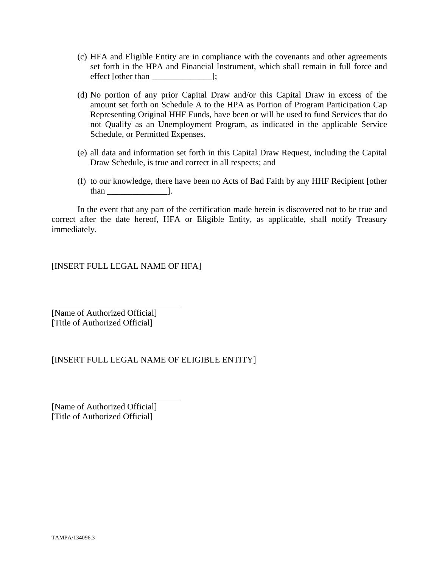- (c) HFA and Eligible Entity are in compliance with the covenants and other agreements set forth in the HPA and Financial Instrument, which shall remain in full force and effect [other than \_\_\_\_\_\_\_\_\_\_\_\_\_\_];
- (d) No portion of any prior Capital Draw and/or this Capital Draw in excess of the amount set forth on Schedule A to the HPA as Portion of Program Participation Cap Representing Original HHF Funds, have been or will be used to fund Services that do not Qualify as an Unemployment Program, as indicated in the applicable Service Schedule, or Permitted Expenses.
- (e) all data and information set forth in this Capital Draw Request, including the Capital Draw Schedule, is true and correct in all respects; and
- (f) to our knowledge, there have been no Acts of Bad Faith by any HHF Recipient [other than \_\_\_\_\_\_\_\_\_\_\_\_\_\_].

 In the event that any part of the certification made herein is discovered not to be true and correct after the date hereof, HFA or Eligible Entity, as applicable, shall notify Treasury immediately.

[INSERT FULL LEGAL NAME OF HFA]

[Name of Authorized Official] [Title of Authorized Official]

 $\overline{a}$ 

 $\overline{a}$ 

## [INSERT FULL LEGAL NAME OF ELIGIBLE ENTITY]

[Name of Authorized Official] [Title of Authorized Official]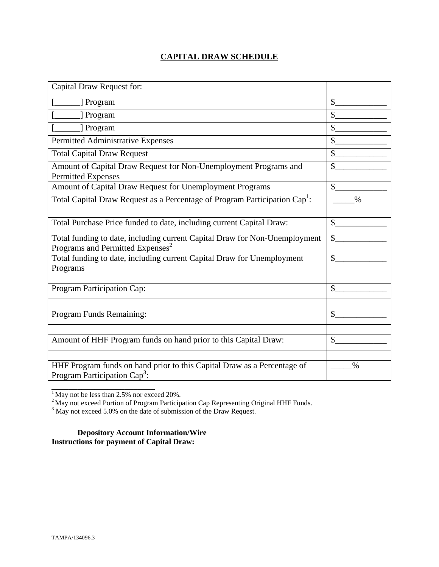## **CAPITAL DRAW SCHEDULE**

| Capital Draw Request for:                                                                                                  |               |
|----------------------------------------------------------------------------------------------------------------------------|---------------|
| [] Program                                                                                                                 | \$            |
| ] Program                                                                                                                  | $\mathcal{S}$ |
| [ Program                                                                                                                  | \$            |
| Permitted Administrative Expenses                                                                                          | \$            |
| <b>Total Capital Draw Request</b>                                                                                          | \$            |
| Amount of Capital Draw Request for Non-Unemployment Programs and<br><b>Permitted Expenses</b>                              | \$            |
| Amount of Capital Draw Request for Unemployment Programs                                                                   | $\mathcal{S}$ |
| Total Capital Draw Request as a Percentage of Program Participation Cap <sup>1</sup> :                                     | $\%$          |
|                                                                                                                            |               |
| Total Purchase Price funded to date, including current Capital Draw:                                                       | $\mathbb{S}$  |
| Total funding to date, including current Capital Draw for Non-Unemployment<br>Programs and Permitted Expenses <sup>2</sup> | \$            |
| Total funding to date, including current Capital Draw for Unemployment<br>Programs                                         | $\mathcal{S}$ |
|                                                                                                                            |               |
| Program Participation Cap:                                                                                                 | \$            |
|                                                                                                                            |               |
| Program Funds Remaining:                                                                                                   | \$            |
|                                                                                                                            |               |
| Amount of HHF Program funds on hand prior to this Capital Draw:                                                            | $\mathcal{S}$ |
|                                                                                                                            |               |
| HHF Program funds on hand prior to this Capital Draw as a Percentage of<br>Program Participation Cap <sup>3</sup> :        | $\%$          |

 $<sup>1</sup>$  May not be less than 2.5% nor exceed 20%.</sup>

\_\_\_\_\_\_\_\_\_\_\_\_\_\_\_\_\_\_\_\_\_\_\_\_

<sup>2</sup> May not exceed Portion of Program Participation Cap Representing Original HHF Funds.<br><sup>3</sup> May not exceed 5.0% on the date of submission of the Draw Request.

**Depository Account Information/Wire Instructions for payment of Capital Draw:**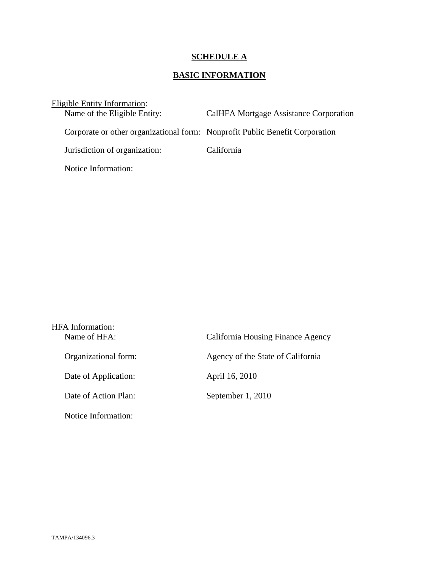# **SCHEDULE A**

## **BASIC INFORMATION**

| Eligible Entity Information:                                                 |                                        |
|------------------------------------------------------------------------------|----------------------------------------|
| Name of the Eligible Entity:                                                 | CalHFA Mortgage Assistance Corporation |
| Corporate or other organizational form: Nonprofit Public Benefit Corporation |                                        |
| Jurisdiction of organization:                                                | California                             |
| Notice Information:                                                          |                                        |

| <b>HFA</b> Information:<br>Name of HFA: | California Housing Finance Agency |
|-----------------------------------------|-----------------------------------|
|                                         |                                   |
| Organizational form:                    | Agency of the State of California |
| Date of Application:                    | April 16, 2010                    |
| Date of Action Plan:                    | September 1, 2010                 |
| Notice Information:                     |                                   |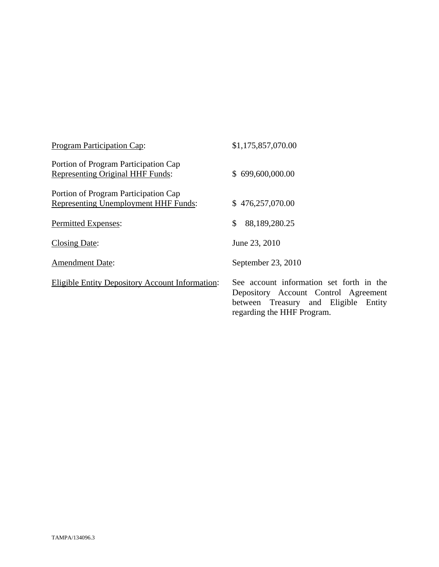| <b>Program Participation Cap:</b>                                               | \$1,175,857,070.00                                                                                                                                        |
|---------------------------------------------------------------------------------|-----------------------------------------------------------------------------------------------------------------------------------------------------------|
| Portion of Program Participation Cap<br><b>Representing Original HHF Funds:</b> | \$699,600,000.00                                                                                                                                          |
| Portion of Program Participation Cap<br>Representing Unemployment HHF Funds:    | \$476,257,070.00                                                                                                                                          |
| Permitted Expenses:                                                             | \$<br>88,189,280.25                                                                                                                                       |
| Closing Date:                                                                   | June 23, 2010                                                                                                                                             |
| <b>Amendment Date:</b>                                                          | September 23, 2010                                                                                                                                        |
| <b>Eligible Entity Depository Account Information:</b>                          | See account information set forth in the<br>Depository Account Control Agreement<br>between Treasury and Eligible<br>Entity<br>regarding the HHF Program. |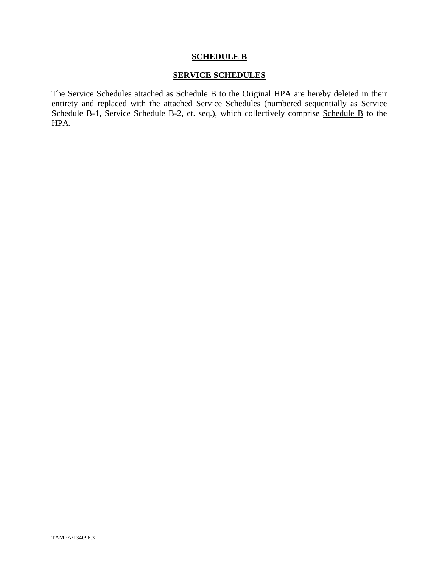#### **SERVICE SCHEDULES**

The Service Schedules attached as Schedule B to the Original HPA are hereby deleted in their entirety and replaced with the attached Service Schedules (numbered sequentially as Service Schedule B-1, Service Schedule B-2, et. seq.), which collectively comprise Schedule B to the HPA.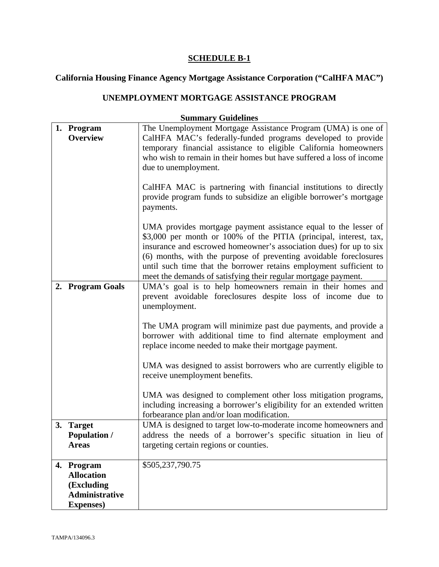#### **California Housing Finance Agency Mortgage Assistance Corporation ("CalHFA MAC")**

### **UNEMPLOYMENT MORTGAGE ASSISTANCE PROGRAM**

### **Summary Guidelines 1. Program Overview**  The Unemployment Mortgage Assistance Program (UMA) is one of CalHFA MAC's federally-funded programs developed to provide temporary financial assistance to eligible California homeowners who wish to remain in their homes but have suffered a loss of income due to unemployment. CalHFA MAC is partnering with financial institutions to directly provide program funds to subsidize an eligible borrower's mortgage payments. UMA provides mortgage payment assistance equal to the lesser of \$3,000 per month or 100% of the PITIA (principal, interest, tax, insurance and escrowed homeowner's association dues) for up to six (6) months, with the purpose of preventing avoidable foreclosures until such time that the borrower retains employment sufficient to meet the demands of satisfying their regular mortgage payment. **2. Program Goals** UMA's goal is to help homeowners remain in their homes and prevent avoidable foreclosures despite loss of income due to unemployment. The UMA program will minimize past due payments, and provide a borrower with additional time to find alternate employment and replace income needed to make their mortgage payment. UMA was designed to assist borrowers who are currently eligible to receive unemployment benefits. UMA was designed to complement other loss mitigation programs, including increasing a borrower's eligibility for an extended written forbearance plan and/or loan modification. **3. Target Population / Areas**  UMA is designed to target low-to-moderate income homeowners and address the needs of a borrower's specific situation in lieu of targeting certain regions or counties. **4. Program Allocation (Excluding Administrative Expenses)**  \$505,237,790.75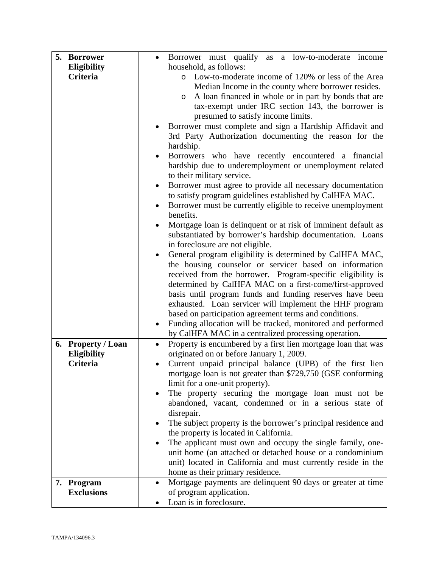| Eligibility<br>household, as follows:<br><b>Criteria</b><br>Low-to-moderate income of 120% or less of the Area<br>$\circ$<br>Median Income in the county where borrower resides.<br>A loan financed in whole or in part by bonds that are<br>$\circ$<br>tax-exempt under IRC section 143, the borrower is<br>presumed to satisfy income limits.<br>Borrower must complete and sign a Hardship Affidavit and<br>3rd Party Authorization documenting the reason for the<br>hardship.<br>Borrowers who have recently encountered a financial<br>hardship due to underemployment or unemployment related<br>to their military service.<br>Borrower must agree to provide all necessary documentation<br>to satisfy program guidelines established by CalHFA MAC.<br>Borrower must be currently eligible to receive unemployment<br>benefits.<br>Mortgage loan is delinquent or at risk of imminent default as<br>substantiated by borrower's hardship documentation. Loans<br>in foreclosure are not eligible.<br>General program eligibility is determined by CalHFA MAC,<br>$\bullet$<br>the housing counselor or servicer based on information<br>received from the borrower. Program-specific eligibility is |
|--------------------------------------------------------------------------------------------------------------------------------------------------------------------------------------------------------------------------------------------------------------------------------------------------------------------------------------------------------------------------------------------------------------------------------------------------------------------------------------------------------------------------------------------------------------------------------------------------------------------------------------------------------------------------------------------------------------------------------------------------------------------------------------------------------------------------------------------------------------------------------------------------------------------------------------------------------------------------------------------------------------------------------------------------------------------------------------------------------------------------------------------------------------------------------------------------------------|
|                                                                                                                                                                                                                                                                                                                                                                                                                                                                                                                                                                                                                                                                                                                                                                                                                                                                                                                                                                                                                                                                                                                                                                                                              |
|                                                                                                                                                                                                                                                                                                                                                                                                                                                                                                                                                                                                                                                                                                                                                                                                                                                                                                                                                                                                                                                                                                                                                                                                              |
|                                                                                                                                                                                                                                                                                                                                                                                                                                                                                                                                                                                                                                                                                                                                                                                                                                                                                                                                                                                                                                                                                                                                                                                                              |
|                                                                                                                                                                                                                                                                                                                                                                                                                                                                                                                                                                                                                                                                                                                                                                                                                                                                                                                                                                                                                                                                                                                                                                                                              |
|                                                                                                                                                                                                                                                                                                                                                                                                                                                                                                                                                                                                                                                                                                                                                                                                                                                                                                                                                                                                                                                                                                                                                                                                              |
|                                                                                                                                                                                                                                                                                                                                                                                                                                                                                                                                                                                                                                                                                                                                                                                                                                                                                                                                                                                                                                                                                                                                                                                                              |
|                                                                                                                                                                                                                                                                                                                                                                                                                                                                                                                                                                                                                                                                                                                                                                                                                                                                                                                                                                                                                                                                                                                                                                                                              |
|                                                                                                                                                                                                                                                                                                                                                                                                                                                                                                                                                                                                                                                                                                                                                                                                                                                                                                                                                                                                                                                                                                                                                                                                              |
|                                                                                                                                                                                                                                                                                                                                                                                                                                                                                                                                                                                                                                                                                                                                                                                                                                                                                                                                                                                                                                                                                                                                                                                                              |
|                                                                                                                                                                                                                                                                                                                                                                                                                                                                                                                                                                                                                                                                                                                                                                                                                                                                                                                                                                                                                                                                                                                                                                                                              |
|                                                                                                                                                                                                                                                                                                                                                                                                                                                                                                                                                                                                                                                                                                                                                                                                                                                                                                                                                                                                                                                                                                                                                                                                              |
|                                                                                                                                                                                                                                                                                                                                                                                                                                                                                                                                                                                                                                                                                                                                                                                                                                                                                                                                                                                                                                                                                                                                                                                                              |
|                                                                                                                                                                                                                                                                                                                                                                                                                                                                                                                                                                                                                                                                                                                                                                                                                                                                                                                                                                                                                                                                                                                                                                                                              |
|                                                                                                                                                                                                                                                                                                                                                                                                                                                                                                                                                                                                                                                                                                                                                                                                                                                                                                                                                                                                                                                                                                                                                                                                              |
|                                                                                                                                                                                                                                                                                                                                                                                                                                                                                                                                                                                                                                                                                                                                                                                                                                                                                                                                                                                                                                                                                                                                                                                                              |
|                                                                                                                                                                                                                                                                                                                                                                                                                                                                                                                                                                                                                                                                                                                                                                                                                                                                                                                                                                                                                                                                                                                                                                                                              |
|                                                                                                                                                                                                                                                                                                                                                                                                                                                                                                                                                                                                                                                                                                                                                                                                                                                                                                                                                                                                                                                                                                                                                                                                              |
|                                                                                                                                                                                                                                                                                                                                                                                                                                                                                                                                                                                                                                                                                                                                                                                                                                                                                                                                                                                                                                                                                                                                                                                                              |
|                                                                                                                                                                                                                                                                                                                                                                                                                                                                                                                                                                                                                                                                                                                                                                                                                                                                                                                                                                                                                                                                                                                                                                                                              |
|                                                                                                                                                                                                                                                                                                                                                                                                                                                                                                                                                                                                                                                                                                                                                                                                                                                                                                                                                                                                                                                                                                                                                                                                              |
|                                                                                                                                                                                                                                                                                                                                                                                                                                                                                                                                                                                                                                                                                                                                                                                                                                                                                                                                                                                                                                                                                                                                                                                                              |
|                                                                                                                                                                                                                                                                                                                                                                                                                                                                                                                                                                                                                                                                                                                                                                                                                                                                                                                                                                                                                                                                                                                                                                                                              |
| determined by CalHFA MAC on a first-come/first-approved                                                                                                                                                                                                                                                                                                                                                                                                                                                                                                                                                                                                                                                                                                                                                                                                                                                                                                                                                                                                                                                                                                                                                      |
| basis until program funds and funding reserves have been                                                                                                                                                                                                                                                                                                                                                                                                                                                                                                                                                                                                                                                                                                                                                                                                                                                                                                                                                                                                                                                                                                                                                     |
| exhausted. Loan servicer will implement the HHF program<br>based on participation agreement terms and conditions.                                                                                                                                                                                                                                                                                                                                                                                                                                                                                                                                                                                                                                                                                                                                                                                                                                                                                                                                                                                                                                                                                            |
| Funding allocation will be tracked, monitored and performed                                                                                                                                                                                                                                                                                                                                                                                                                                                                                                                                                                                                                                                                                                                                                                                                                                                                                                                                                                                                                                                                                                                                                  |
| by CalHFA MAC in a centralized processing operation.                                                                                                                                                                                                                                                                                                                                                                                                                                                                                                                                                                                                                                                                                                                                                                                                                                                                                                                                                                                                                                                                                                                                                         |
| Property is encumbered by a first lien mortgage loan that was<br>6. Property / Loan                                                                                                                                                                                                                                                                                                                                                                                                                                                                                                                                                                                                                                                                                                                                                                                                                                                                                                                                                                                                                                                                                                                          |
| originated on or before January 1, 2009.<br><b>Eligibility</b>                                                                                                                                                                                                                                                                                                                                                                                                                                                                                                                                                                                                                                                                                                                                                                                                                                                                                                                                                                                                                                                                                                                                               |
| Criteria<br>Current unpaid principal balance (UPB) of the first lien                                                                                                                                                                                                                                                                                                                                                                                                                                                                                                                                                                                                                                                                                                                                                                                                                                                                                                                                                                                                                                                                                                                                         |
| mortgage loan is not greater than \$729,750 (GSE conforming                                                                                                                                                                                                                                                                                                                                                                                                                                                                                                                                                                                                                                                                                                                                                                                                                                                                                                                                                                                                                                                                                                                                                  |
| limit for a one-unit property).                                                                                                                                                                                                                                                                                                                                                                                                                                                                                                                                                                                                                                                                                                                                                                                                                                                                                                                                                                                                                                                                                                                                                                              |
| The property securing the mortgage loan must not be<br>$\bullet$                                                                                                                                                                                                                                                                                                                                                                                                                                                                                                                                                                                                                                                                                                                                                                                                                                                                                                                                                                                                                                                                                                                                             |
| abandoned, vacant, condemned or in a serious state of                                                                                                                                                                                                                                                                                                                                                                                                                                                                                                                                                                                                                                                                                                                                                                                                                                                                                                                                                                                                                                                                                                                                                        |
| disrepair.                                                                                                                                                                                                                                                                                                                                                                                                                                                                                                                                                                                                                                                                                                                                                                                                                                                                                                                                                                                                                                                                                                                                                                                                   |
| The subject property is the borrower's principal residence and                                                                                                                                                                                                                                                                                                                                                                                                                                                                                                                                                                                                                                                                                                                                                                                                                                                                                                                                                                                                                                                                                                                                               |
| the property is located in California.                                                                                                                                                                                                                                                                                                                                                                                                                                                                                                                                                                                                                                                                                                                                                                                                                                                                                                                                                                                                                                                                                                                                                                       |
| The applicant must own and occupy the single family, one-                                                                                                                                                                                                                                                                                                                                                                                                                                                                                                                                                                                                                                                                                                                                                                                                                                                                                                                                                                                                                                                                                                                                                    |
| unit home (an attached or detached house or a condominium                                                                                                                                                                                                                                                                                                                                                                                                                                                                                                                                                                                                                                                                                                                                                                                                                                                                                                                                                                                                                                                                                                                                                    |
| unit) located in California and must currently reside in the                                                                                                                                                                                                                                                                                                                                                                                                                                                                                                                                                                                                                                                                                                                                                                                                                                                                                                                                                                                                                                                                                                                                                 |
| home as their primary residence.                                                                                                                                                                                                                                                                                                                                                                                                                                                                                                                                                                                                                                                                                                                                                                                                                                                                                                                                                                                                                                                                                                                                                                             |
| Mortgage payments are delinquent 90 days or greater at time<br>7. Program<br>$\bullet$                                                                                                                                                                                                                                                                                                                                                                                                                                                                                                                                                                                                                                                                                                                                                                                                                                                                                                                                                                                                                                                                                                                       |
| <b>Exclusions</b><br>of program application.                                                                                                                                                                                                                                                                                                                                                                                                                                                                                                                                                                                                                                                                                                                                                                                                                                                                                                                                                                                                                                                                                                                                                                 |
|                                                                                                                                                                                                                                                                                                                                                                                                                                                                                                                                                                                                                                                                                                                                                                                                                                                                                                                                                                                                                                                                                                                                                                                                              |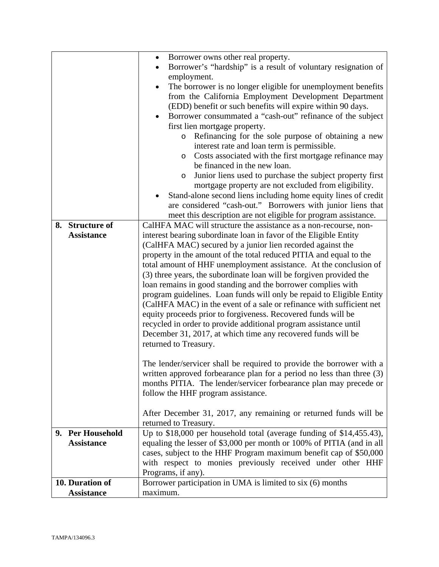|                   | Borrower owns other real property.<br>$\bullet$                                                                                     |
|-------------------|-------------------------------------------------------------------------------------------------------------------------------------|
|                   | Borrower's "hardship" is a result of voluntary resignation of                                                                       |
|                   | employment.                                                                                                                         |
|                   | The borrower is no longer eligible for unemployment benefits<br>$\bullet$                                                           |
|                   | from the California Employment Development Department                                                                               |
|                   | (EDD) benefit or such benefits will expire within 90 days.                                                                          |
|                   | Borrower consummated a "cash-out" refinance of the subject<br>$\bullet$                                                             |
|                   | first lien mortgage property.                                                                                                       |
|                   | Refinancing for the sole purpose of obtaining a new<br>$\circ$                                                                      |
|                   | interest rate and loan term is permissible.                                                                                         |
|                   | Costs associated with the first mortgage refinance may<br>O                                                                         |
|                   | be financed in the new loan.                                                                                                        |
|                   | Junior liens used to purchase the subject property first<br>$\circ$                                                                 |
|                   | mortgage property are not excluded from eligibility.                                                                                |
|                   | Stand-alone second liens including home equity lines of credit                                                                      |
|                   | are considered "cash-out." Borrowers with junior liens that                                                                         |
|                   | meet this description are not eligible for program assistance.                                                                      |
| 8. Structure of   | CalHFA MAC will structure the assistance as a non-recourse, non-                                                                    |
| <b>Assistance</b> | interest bearing subordinate loan in favor of the Eligible Entity                                                                   |
|                   | (CalHFA MAC) secured by a junior lien recorded against the                                                                          |
|                   | property in the amount of the total reduced PITIA and equal to the                                                                  |
|                   | total amount of HHF unemployment assistance. At the conclusion of                                                                   |
|                   | (3) three years, the subordinate loan will be forgiven provided the<br>loan remains in good standing and the borrower complies with |
|                   | program guidelines. Loan funds will only be repaid to Eligible Entity                                                               |
|                   | (CalHFA MAC) in the event of a sale or refinance with sufficient net                                                                |
|                   | equity proceeds prior to forgiveness. Recovered funds will be                                                                       |
|                   | recycled in order to provide additional program assistance until                                                                    |
|                   | December 31, 2017, at which time any recovered funds will be                                                                        |
|                   | returned to Treasury.                                                                                                               |
|                   |                                                                                                                                     |
|                   | The lender/servicer shall be required to provide the borrower with a                                                                |
|                   | written approved forbearance plan for a period no less than three (3)                                                               |
|                   | months PITIA. The lender/servicer forbearance plan may precede or                                                                   |
|                   | follow the HHF program assistance.                                                                                                  |
|                   |                                                                                                                                     |
|                   | After December 31, 2017, any remaining or returned funds will be                                                                    |
|                   | returned to Treasury.                                                                                                               |
| 9. Per Household  | Up to \$18,000 per household total (average funding of \$14,455.43),                                                                |
| <b>Assistance</b> | equaling the lesser of \$3,000 per month or 100% of PITIA (and in all                                                               |
|                   | cases, subject to the HHF Program maximum benefit cap of \$50,000                                                                   |
|                   | with respect to monies previously received under other HHF                                                                          |
|                   | Programs, if any).                                                                                                                  |
| 10. Duration of   | Borrower participation in UMA is limited to six (6) months                                                                          |
| <b>Assistance</b> | maximum.                                                                                                                            |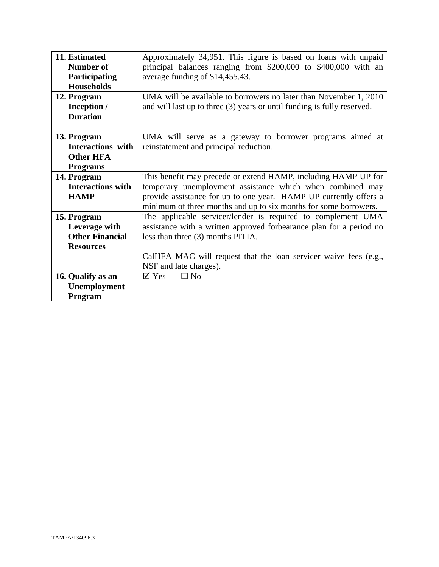| 11. Estimated            | Approximately 34,951. This figure is based on loans with unpaid         |
|--------------------------|-------------------------------------------------------------------------|
| Number of                | principal balances ranging from \$200,000 to \$400,000 with an          |
| Participating            | average funding of \$14,455.43.                                         |
| <b>Households</b>        |                                                                         |
| 12. Program              | UMA will be available to borrowers no later than November 1, 2010       |
|                          |                                                                         |
| Inception /              | and will last up to three (3) years or until funding is fully reserved. |
| <b>Duration</b>          |                                                                         |
|                          |                                                                         |
| 13. Program              | UMA will serve as a gateway to borrower programs aimed at               |
| Interactions with        | reinstatement and principal reduction.                                  |
| <b>Other HFA</b>         |                                                                         |
| <b>Programs</b>          |                                                                         |
| 14. Program              | This benefit may precede or extend HAMP, including HAMP UP for          |
| <b>Interactions with</b> | temporary unemployment assistance which when combined may               |
| <b>HAMP</b>              | provide assistance for up to one year. HAMP UP currently offers a       |
|                          | minimum of three months and up to six months for some borrowers.        |
| 15. Program              | The applicable servicer/lender is required to complement UMA            |
| Leverage with            | assistance with a written approved forbearance plan for a period no     |
| <b>Other Financial</b>   |                                                                         |
|                          | less than three (3) months PITIA.                                       |
| <b>Resources</b>         |                                                                         |
|                          | CalHFA MAC will request that the loan servicer waive fees (e.g.,        |
|                          | NSF and late charges).                                                  |
| 16. Qualify as an        | $\square$ No<br>$\boxtimes$ Yes                                         |
| Unemployment             |                                                                         |
| Program                  |                                                                         |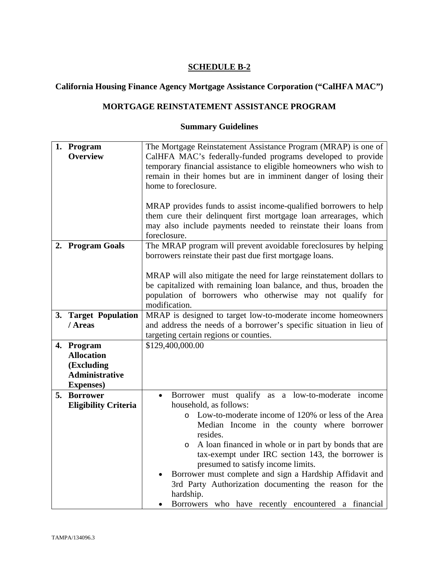## **California Housing Finance Agency Mortgage Assistance Corporation ("CalHFA MAC")**

## **MORTGAGE REINSTATEMENT ASSISTANCE PROGRAM**

## **Summary Guidelines**

| 1. Program                      | The Mortgage Reinstatement Assistance Program (MRAP) is one of      |  |
|---------------------------------|---------------------------------------------------------------------|--|
| <b>Overview</b>                 | CalHFA MAC's federally-funded programs developed to provide         |  |
|                                 | temporary financial assistance to eligible homeowners who wish to   |  |
|                                 | remain in their homes but are in imminent danger of losing their    |  |
|                                 | home to foreclosure.                                                |  |
|                                 |                                                                     |  |
|                                 | MRAP provides funds to assist income-qualified borrowers to help    |  |
|                                 | them cure their delinquent first mortgage loan arrearages, which    |  |
|                                 | may also include payments needed to reinstate their loans from      |  |
|                                 | foreclosure.                                                        |  |
| 2. Program Goals                | The MRAP program will prevent avoidable foreclosures by helping     |  |
|                                 | borrowers reinstate their past due first mortgage loans.            |  |
|                                 |                                                                     |  |
|                                 | MRAP will also mitigate the need for large reinstatement dollars to |  |
|                                 | be capitalized with remaining loan balance, and thus, broaden the   |  |
|                                 | population of borrowers who otherwise may not qualify for           |  |
|                                 | modification.                                                       |  |
| 3. Target Population            | MRAP is designed to target low-to-moderate income homeowners        |  |
| / Areas                         |                                                                     |  |
|                                 | and address the needs of a borrower's specific situation in lieu of |  |
|                                 | targeting certain regions or counties.<br>\$129,400,000.00          |  |
| 4. Program<br><b>Allocation</b> |                                                                     |  |
|                                 |                                                                     |  |
| (Excluding                      |                                                                     |  |
| <b>Administrative</b>           |                                                                     |  |
| <b>Expenses</b> )               |                                                                     |  |
| 5. Borrower                     | Borrower must qualify as a low-to-moderate income<br>$\bullet$      |  |
| <b>Eligibility Criteria</b>     | household, as follows:                                              |  |
|                                 | Low-to-moderate income of 120% or less of the Area<br>$\circ$       |  |
|                                 | Median Income in the county where borrower                          |  |
|                                 | resides.                                                            |  |
|                                 | A loan financed in whole or in part by bonds that are<br>$\circ$    |  |
|                                 | tax-exempt under IRC section 143, the borrower is                   |  |
|                                 | presumed to satisfy income limits.                                  |  |
|                                 | Borrower must complete and sign a Hardship Affidavit and            |  |
|                                 | 3rd Party Authorization documenting the reason for the              |  |
|                                 | hardship.                                                           |  |
|                                 | Borrowers who have recently encountered a financial                 |  |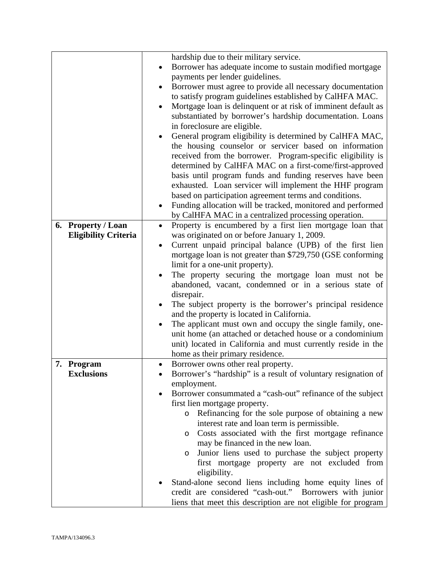|                             | hardship due to their military service.                                 |
|-----------------------------|-------------------------------------------------------------------------|
|                             | Borrower has adequate income to sustain modified mortgage<br>$\bullet$  |
|                             | payments per lender guidelines.                                         |
|                             | Borrower must agree to provide all necessary documentation<br>٠         |
|                             | to satisfy program guidelines established by CalHFA MAC.                |
|                             | Mortgage loan is delinquent or at risk of imminent default as           |
|                             | substantiated by borrower's hardship documentation. Loans               |
|                             | in foreclosure are eligible.                                            |
|                             | General program eligibility is determined by CalHFA MAC,                |
|                             | the housing counselor or servicer based on information                  |
|                             |                                                                         |
|                             | received from the borrower. Program-specific eligibility is             |
|                             | determined by CalHFA MAC on a first-come/first-approved                 |
|                             | basis until program funds and funding reserves have been                |
|                             | exhausted. Loan servicer will implement the HHF program                 |
|                             | based on participation agreement terms and conditions.                  |
|                             | Funding allocation will be tracked, monitored and performed             |
|                             | by CalHFA MAC in a centralized processing operation.                    |
| 6. Property / Loan          | Property is encumbered by a first lien mortgage loan that<br>$\bullet$  |
| <b>Eligibility Criteria</b> | was originated on or before January 1, 2009.                            |
|                             | Current unpaid principal balance (UPB) of the first lien<br>٠           |
|                             | mortgage loan is not greater than \$729,750 (GSE conforming             |
|                             |                                                                         |
|                             | limit for a one-unit property).                                         |
|                             | The property securing the mortgage loan must not be                     |
|                             | abandoned, vacant, condemned or in a serious state of                   |
|                             | disrepair.                                                              |
|                             | The subject property is the borrower's principal residence              |
|                             | and the property is located in California.                              |
|                             | The applicant must own and occupy the single family, one-               |
|                             | unit home (an attached or detached house or a condominium               |
|                             | unit) located in California and must currently reside in the            |
|                             | home as their primary residence.                                        |
| 7. Program                  | Borrower owns other real property.<br>$\bullet$                         |
| <b>Exclusions</b>           | Borrower's "hardship" is a result of voluntary resignation of           |
|                             | employment.                                                             |
|                             | Borrower consummated a "cash-out" refinance of the subject<br>$\bullet$ |
|                             | first lien mortgage property.                                           |
|                             | Refinancing for the sole purpose of obtaining a new                     |
|                             | $\circ$                                                                 |
|                             | interest rate and loan term is permissible.                             |
|                             | Costs associated with the first mortgage refinance<br>$\circ$           |
|                             | may be financed in the new loan.                                        |
|                             | Junior liens used to purchase the subject property<br>$\circ$           |
|                             | first mortgage property are not excluded from                           |
|                             | eligibility.                                                            |
|                             | Stand-alone second liens including home equity lines of                 |
|                             | credit are considered "cash-out." Borrowers with junior                 |
|                             | liens that meet this description are not eligible for program           |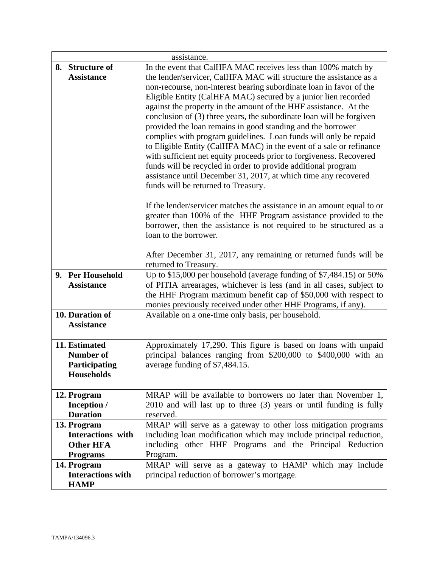|                          | assistance.                                                            |
|--------------------------|------------------------------------------------------------------------|
| 8. Structure of          | In the event that CalHFA MAC receives less than 100% match by          |
| <b>Assistance</b>        | the lender/servicer, CalHFA MAC will structure the assistance as a     |
|                          | non-recourse, non-interest bearing subordinate loan in favor of the    |
|                          | Eligible Entity (CalHFA MAC) secured by a junior lien recorded         |
|                          | against the property in the amount of the HHF assistance. At the       |
|                          | conclusion of (3) three years, the subordinate loan will be forgiven   |
|                          | provided the loan remains in good standing and the borrower            |
|                          | complies with program guidelines. Loan funds will only be repaid       |
|                          | to Eligible Entity (CalHFA MAC) in the event of a sale or refinance    |
|                          | with sufficient net equity proceeds prior to forgiveness. Recovered    |
|                          | funds will be recycled in order to provide additional program          |
|                          | assistance until December 31, 2017, at which time any recovered        |
|                          | funds will be returned to Treasury.                                    |
|                          | If the lender/servicer matches the assistance in an amount equal to or |
|                          | greater than 100% of the HHF Program assistance provided to the        |
|                          | borrower, then the assistance is not required to be structured as a    |
|                          | loan to the borrower.                                                  |
|                          |                                                                        |
|                          | After December 31, 2017, any remaining or returned funds will be       |
|                          | returned to Treasury.                                                  |
| 9. Per Household         | Up to \$15,000 per household (average funding of \$7,484.15) or 50%    |
| <b>Assistance</b>        | of PITIA arrearages, whichever is less (and in all cases, subject to   |
|                          | the HHF Program maximum benefit cap of \$50,000 with respect to        |
|                          | monies previously received under other HHF Programs, if any).          |
| 10. Duration of          | Available on a one-time only basis, per household.                     |
| <b>Assistance</b>        |                                                                        |
| 11. Estimated            | Approximately 17,290. This figure is based on loans with unpaid        |
| <b>Number of</b>         | principal balances ranging from \$200,000 to \$400,000 with an         |
| Participating            | average funding of \$7,484.15.                                         |
| Households               |                                                                        |
|                          |                                                                        |
| 12. Program              | MRAP will be available to borrowers no later than November 1,          |
| Inception /              | 2010 and will last up to three (3) years or until funding is fully     |
| <b>Duration</b>          | reserved.                                                              |
| 13. Program              | MRAP will serve as a gateway to other loss mitigation programs         |
| <b>Interactions</b> with | including loan modification which may include principal reduction,     |
| <b>Other HFA</b>         | including other HHF Programs and the Principal Reduction               |
| <b>Programs</b>          | Program.                                                               |
| 14. Program              | MRAP will serve as a gateway to HAMP which may include                 |
| <b>Interactions with</b> | principal reduction of borrower's mortgage.                            |
| <b>HAMP</b>              |                                                                        |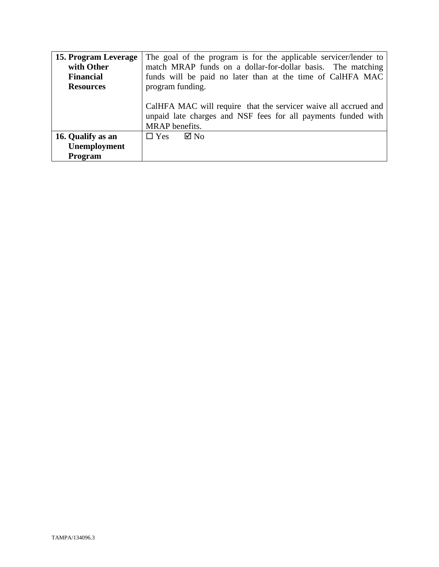| 15. Program Leverage | The goal of the program is for the applicable servicer/lender to                                                                                   |
|----------------------|----------------------------------------------------------------------------------------------------------------------------------------------------|
| with Other           | match MRAP funds on a dollar-for-dollar basis. The matching                                                                                        |
| <b>Financial</b>     | funds will be paid no later than at the time of CalHFA MAC                                                                                         |
| <b>Resources</b>     | program funding.                                                                                                                                   |
|                      | CalHFA MAC will require that the servicer waive all accrued and<br>unpaid late charges and NSF fees for all payments funded with<br>MRAP benefits. |
| 16. Qualify as an    | $\square$ Yes<br>$\boxtimes$ No                                                                                                                    |
| Unemployment         |                                                                                                                                                    |
| Program              |                                                                                                                                                    |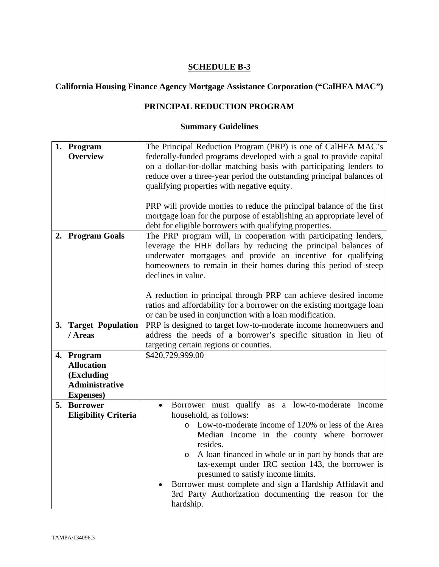# **California Housing Finance Agency Mortgage Assistance Corporation ("CalHFA MAC")**

## **PRINCIPAL REDUCTION PROGRAM**

## **Summary Guidelines**

|    | 1. Program                  | The Principal Reduction Program (PRP) is one of CalHFA MAC's          |  |
|----|-----------------------------|-----------------------------------------------------------------------|--|
|    | <b>Overview</b>             | federally-funded programs developed with a goal to provide capital    |  |
|    |                             | on a dollar-for-dollar matching basis with participating lenders to   |  |
|    |                             | reduce over a three-year period the outstanding principal balances of |  |
|    |                             | qualifying properties with negative equity.                           |  |
|    |                             |                                                                       |  |
|    |                             |                                                                       |  |
|    |                             | PRP will provide monies to reduce the principal balance of the first  |  |
|    |                             | mortgage loan for the purpose of establishing an appropriate level of |  |
|    |                             | debt for eligible borrowers with qualifying properties.               |  |
|    | 2. Program Goals            | The PRP program will, in cooperation with participating lenders,      |  |
|    |                             | leverage the HHF dollars by reducing the principal balances of        |  |
|    |                             | underwater mortgages and provide an incentive for qualifying          |  |
|    |                             | homeowners to remain in their homes during this period of steep       |  |
|    |                             | declines in value.                                                    |  |
|    |                             |                                                                       |  |
|    |                             | A reduction in principal through PRP can achieve desired income       |  |
|    |                             | ratios and affordability for a borrower on the existing mortgage loan |  |
|    |                             | or can be used in conjunction with a loan modification.               |  |
|    | 3. Target Population        | PRP is designed to target low-to-moderate income homeowners and       |  |
|    | / Areas                     | address the needs of a borrower's specific situation in lieu of       |  |
|    |                             | targeting certain regions or counties.                                |  |
|    | 4. Program                  | \$420,729,999.00                                                      |  |
|    | <b>Allocation</b>           |                                                                       |  |
|    | (Excluding                  |                                                                       |  |
|    | <b>Administrative</b>       |                                                                       |  |
|    |                             |                                                                       |  |
|    | <b>Expenses</b> )           |                                                                       |  |
| 5. | <b>Borrower</b>             | Borrower must qualify as a low-to-moderate income<br>$\bullet$        |  |
|    | <b>Eligibility Criteria</b> | household, as follows:                                                |  |
|    |                             | Low-to-moderate income of 120% or less of the Area<br>$\circ$         |  |
|    |                             | Median Income in the county where borrower                            |  |
|    |                             | resides.                                                              |  |
|    |                             | A loan financed in whole or in part by bonds that are<br>$\circ$      |  |
|    |                             | tax-exempt under IRC section 143, the borrower is                     |  |
|    |                             | presumed to satisfy income limits.                                    |  |
|    |                             | Borrower must complete and sign a Hardship Affidavit and              |  |
|    |                             | 3rd Party Authorization documenting the reason for the                |  |
|    |                             | hardship.                                                             |  |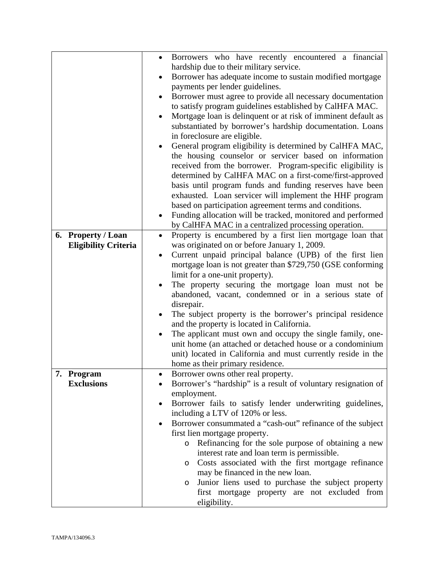|                             |  | $\bullet$                               | Borrowers who have recently encountered a financial                                    |  |  |
|-----------------------------|--|-----------------------------------------|----------------------------------------------------------------------------------------|--|--|
|                             |  | hardship due to their military service. |                                                                                        |  |  |
|                             |  | ٠                                       | Borrower has adequate income to sustain modified mortgage                              |  |  |
|                             |  |                                         | payments per lender guidelines.                                                        |  |  |
|                             |  |                                         | Borrower must agree to provide all necessary documentation                             |  |  |
|                             |  |                                         | to satisfy program guidelines established by CalHFA MAC.                               |  |  |
|                             |  |                                         | Mortgage loan is delinquent or at risk of imminent default as                          |  |  |
|                             |  |                                         | substantiated by borrower's hardship documentation. Loans                              |  |  |
|                             |  |                                         | in foreclosure are eligible.                                                           |  |  |
|                             |  |                                         | General program eligibility is determined by CalHFA MAC,                               |  |  |
|                             |  |                                         | the housing counselor or servicer based on information                                 |  |  |
|                             |  |                                         | received from the borrower. Program-specific eligibility is                            |  |  |
|                             |  |                                         | determined by CalHFA MAC on a first-come/first-approved                                |  |  |
|                             |  |                                         |                                                                                        |  |  |
|                             |  |                                         | basis until program funds and funding reserves have been                               |  |  |
|                             |  |                                         | exhausted. Loan servicer will implement the HHF program                                |  |  |
|                             |  |                                         | based on participation agreement terms and conditions.                                 |  |  |
|                             |  |                                         | Funding allocation will be tracked, monitored and performed                            |  |  |
| 6. Property / Loan          |  |                                         | by CalHFA MAC in a centralized processing operation.                                   |  |  |
|                             |  |                                         | Property is encumbered by a first lien mortgage loan that                              |  |  |
| <b>Eligibility Criteria</b> |  |                                         | was originated on or before January 1, 2009.                                           |  |  |
|                             |  | $\bullet$                               | Current unpaid principal balance (UPB) of the first lien                               |  |  |
|                             |  |                                         | mortgage loan is not greater than \$729,750 (GSE conforming                            |  |  |
|                             |  |                                         | limit for a one-unit property).                                                        |  |  |
|                             |  |                                         | The property securing the mortgage loan must not be                                    |  |  |
|                             |  |                                         | abandoned, vacant, condemned or in a serious state of                                  |  |  |
|                             |  |                                         | disrepair.                                                                             |  |  |
|                             |  |                                         | The subject property is the borrower's principal residence                             |  |  |
|                             |  |                                         | and the property is located in California.                                             |  |  |
|                             |  |                                         | The applicant must own and occupy the single family, one-                              |  |  |
|                             |  |                                         | unit home (an attached or detached house or a condominium                              |  |  |
|                             |  |                                         | unit) located in California and must currently reside in the                           |  |  |
|                             |  |                                         | home as their primary residence.                                                       |  |  |
| 7. Program                  |  |                                         | Borrower owns other real property.                                                     |  |  |
| <b>Exclusions</b>           |  |                                         | Borrower's "hardship" is a result of voluntary resignation of                          |  |  |
|                             |  |                                         | employment.                                                                            |  |  |
|                             |  | ٠                                       | Borrower fails to satisfy lender underwriting guidelines,                              |  |  |
|                             |  |                                         | including a LTV of 120% or less.                                                       |  |  |
|                             |  | ٠                                       | Borrower consummated a "cash-out" refinance of the subject                             |  |  |
|                             |  |                                         | first lien mortgage property.                                                          |  |  |
|                             |  |                                         | Refinancing for the sole purpose of obtaining a new<br>$\circ$                         |  |  |
|                             |  |                                         | interest rate and loan term is permissible.                                            |  |  |
|                             |  |                                         | Costs associated with the first mortgage refinance<br>$\circ$                          |  |  |
|                             |  |                                         | may be financed in the new loan.<br>Junior liens used to purchase the subject property |  |  |
|                             |  | O                                       |                                                                                        |  |  |
|                             |  |                                         | first mortgage property are not excluded from                                          |  |  |
|                             |  |                                         | eligibility.                                                                           |  |  |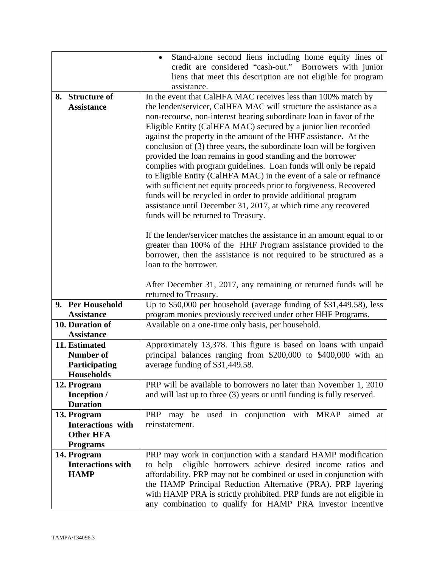|                                   | Stand-alone second liens including home equity lines of                                                                              |  |  |
|-----------------------------------|--------------------------------------------------------------------------------------------------------------------------------------|--|--|
|                                   | credit are considered "cash-out." Borrowers with junior                                                                              |  |  |
|                                   | liens that meet this description are not eligible for program                                                                        |  |  |
|                                   | assistance.                                                                                                                          |  |  |
| <b>Structure of</b><br>8.         | In the event that CalHFA MAC receives less than 100% match by                                                                        |  |  |
| <b>Assistance</b>                 | the lender/servicer, CalHFA MAC will structure the assistance as a                                                                   |  |  |
|                                   | non-recourse, non-interest bearing subordinate loan in favor of the                                                                  |  |  |
|                                   | Eligible Entity (CalHFA MAC) secured by a junior lien recorded                                                                       |  |  |
|                                   | against the property in the amount of the HHF assistance. At the                                                                     |  |  |
|                                   | conclusion of (3) three years, the subordinate loan will be forgiven                                                                 |  |  |
|                                   | provided the loan remains in good standing and the borrower                                                                          |  |  |
|                                   | complies with program guidelines. Loan funds will only be repaid                                                                     |  |  |
|                                   | to Eligible Entity (CalHFA MAC) in the event of a sale or refinance                                                                  |  |  |
|                                   | with sufficient net equity proceeds prior to forgiveness. Recovered<br>funds will be recycled in order to provide additional program |  |  |
|                                   | assistance until December 31, 2017, at which time any recovered                                                                      |  |  |
|                                   | funds will be returned to Treasury.                                                                                                  |  |  |
|                                   |                                                                                                                                      |  |  |
|                                   | If the lender/servicer matches the assistance in an amount equal to or                                                               |  |  |
|                                   | greater than 100% of the HHF Program assistance provided to the                                                                      |  |  |
|                                   | borrower, then the assistance is not required to be structured as a                                                                  |  |  |
|                                   | loan to the borrower.                                                                                                                |  |  |
|                                   |                                                                                                                                      |  |  |
|                                   | After December 31, 2017, any remaining or returned funds will be                                                                     |  |  |
|                                   | returned to Treasury.                                                                                                                |  |  |
| 9. Per Household                  | Up to $$50,000$ per household (average funding of $$31,449.58$ ), less                                                               |  |  |
| <b>Assistance</b>                 | program monies previously received under other HHF Programs.                                                                         |  |  |
| 10. Duration of                   | Available on a one-time only basis, per household.                                                                                   |  |  |
| <b>Assistance</b>                 |                                                                                                                                      |  |  |
| 11. Estimated<br><b>Number of</b> | Approximately 13,378. This figure is based on loans with unpaid                                                                      |  |  |
| Participating                     | principal balances ranging from \$200,000 to \$400,000 with an<br>average funding of \$31,449.58.                                    |  |  |
| <b>Households</b>                 |                                                                                                                                      |  |  |
| 12. Program                       | PRP will be available to borrowers no later than November 1, 2010                                                                    |  |  |
| Inception /                       | and will last up to three (3) years or until funding is fully reserved.                                                              |  |  |
| <b>Duration</b>                   |                                                                                                                                      |  |  |
| 13. Program                       | used in conjunction with MRAP<br>PRP may be<br>aimed at                                                                              |  |  |
| <b>Interactions</b> with          | reinstatement.                                                                                                                       |  |  |
| <b>Other HFA</b>                  |                                                                                                                                      |  |  |
| <b>Programs</b>                   |                                                                                                                                      |  |  |
| 14. Program                       | PRP may work in conjunction with a standard HAMP modification                                                                        |  |  |
| <b>Interactions with</b>          | eligible borrowers achieve desired income ratios and<br>to help                                                                      |  |  |
| <b>HAMP</b>                       | affordability. PRP may not be combined or used in conjunction with                                                                   |  |  |
|                                   | the HAMP Principal Reduction Alternative (PRA). PRP layering                                                                         |  |  |
|                                   | with HAMP PRA is strictly prohibited. PRP funds are not eligible in                                                                  |  |  |
|                                   | any combination to qualify for HAMP PRA investor incentive                                                                           |  |  |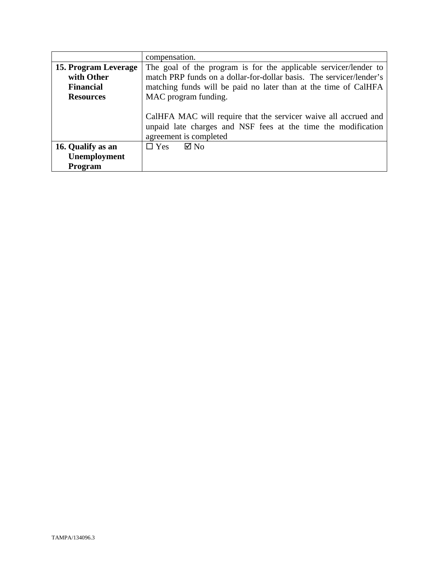|                      | compensation.                                                                                                                                              |  |
|----------------------|------------------------------------------------------------------------------------------------------------------------------------------------------------|--|
| 15. Program Leverage | The goal of the program is for the applicable servicer/lender to                                                                                           |  |
| with Other           | match PRP funds on a dollar-for-dollar basis. The servicer/lender's                                                                                        |  |
| <b>Financial</b>     | matching funds will be paid no later than at the time of CalHFA                                                                                            |  |
| <b>Resources</b>     | MAC program funding.                                                                                                                                       |  |
|                      | CalHFA MAC will require that the servicer waive all accrued and<br>unpaid late charges and NSF fees at the time the modification<br>agreement is completed |  |
| 16. Qualify as an    | $\Box$ Yes $\Box$ No                                                                                                                                       |  |
| Unemployment         |                                                                                                                                                            |  |
| Program              |                                                                                                                                                            |  |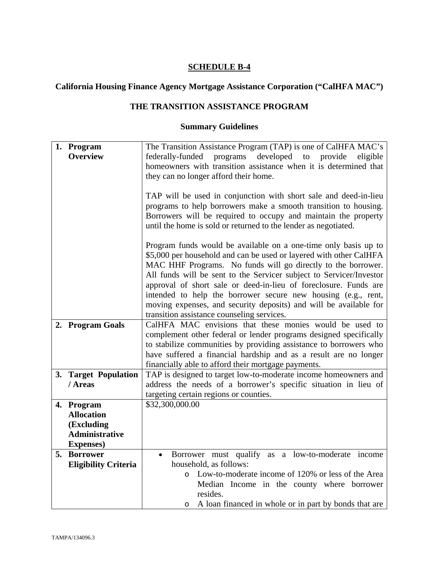# **California Housing Finance Agency Mortgage Assistance Corporation ("CalHFA MAC")**

## **THE TRANSITION ASSISTANCE PROGRAM**

## **Summary Guidelines**

|  | 1. Program                  | The Transition Assistance Program (TAP) is one of CalHFA MAC's      |  |  |
|--|-----------------------------|---------------------------------------------------------------------|--|--|
|  | <b>Overview</b>             | federally-funded programs developed to provide<br>eligible          |  |  |
|  |                             | homeowners with transition assistance when it is determined that    |  |  |
|  |                             | they can no longer afford their home.                               |  |  |
|  |                             |                                                                     |  |  |
|  |                             | TAP will be used in conjunction with short sale and deed-in-lieu    |  |  |
|  |                             | programs to help borrowers make a smooth transition to housing.     |  |  |
|  |                             | Borrowers will be required to occupy and maintain the property      |  |  |
|  |                             | until the home is sold or returned to the lender as negotiated.     |  |  |
|  |                             |                                                                     |  |  |
|  |                             | Program funds would be available on a one-time only basis up to     |  |  |
|  |                             | \$5,000 per household and can be used or layered with other CalHFA  |  |  |
|  |                             |                                                                     |  |  |
|  |                             | MAC HHF Programs. No funds will go directly to the borrower.        |  |  |
|  |                             | All funds will be sent to the Servicer subject to Servicer/Investor |  |  |
|  |                             | approval of short sale or deed-in-lieu of foreclosure. Funds are    |  |  |
|  |                             | intended to help the borrower secure new housing (e.g., rent,       |  |  |
|  |                             | moving expenses, and security deposits) and will be available for   |  |  |
|  |                             | transition assistance counseling services.                          |  |  |
|  | 2. Program Goals            | CalHFA MAC envisions that these monies would be used to             |  |  |
|  |                             | complement other federal or lender programs designed specifically   |  |  |
|  |                             | to stabilize communities by providing assistance to borrowers who   |  |  |
|  |                             | have suffered a financial hardship and as a result are no longer    |  |  |
|  |                             | financially able to afford their mortgage payments.                 |  |  |
|  | 3. Target Population        | TAP is designed to target low-to-moderate income homeowners and     |  |  |
|  | / Areas                     | address the needs of a borrower's specific situation in lieu of     |  |  |
|  |                             | targeting certain regions or counties.                              |  |  |
|  | 4. Program                  | \$32,300,000.00                                                     |  |  |
|  | <b>Allocation</b>           |                                                                     |  |  |
|  | (Excluding                  |                                                                     |  |  |
|  | <b>Administrative</b>       |                                                                     |  |  |
|  | <b>Expenses</b> )           |                                                                     |  |  |
|  | 5. Borrower                 | Borrower must qualify as a low-to-moderate income<br>$\bullet$      |  |  |
|  | <b>Eligibility Criteria</b> | household, as follows:                                              |  |  |
|  |                             | Low-to-moderate income of 120% or less of the Area<br>$\circ$       |  |  |
|  |                             | Median Income in the county where borrower                          |  |  |
|  |                             | resides.                                                            |  |  |
|  |                             | A loan financed in whole or in part by bonds that are<br>O          |  |  |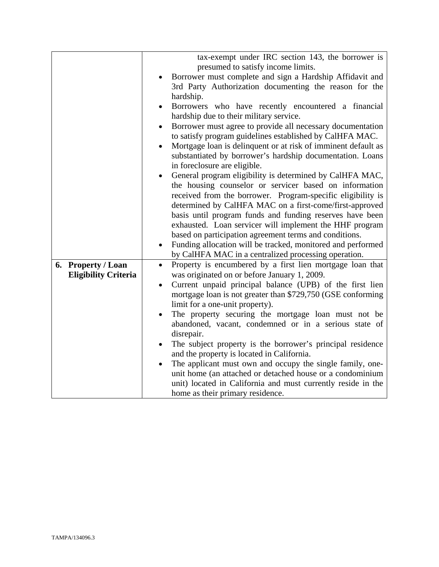|                             | tax-exempt under IRC section 143, the borrower is<br>presumed to satisfy income limits.        |  |
|-----------------------------|------------------------------------------------------------------------------------------------|--|
|                             |                                                                                                |  |
|                             | Borrower must complete and sign a Hardship Affidavit and                                       |  |
|                             | 3rd Party Authorization documenting the reason for the<br>hardship.                            |  |
|                             |                                                                                                |  |
|                             | Borrowers who have recently encountered a financial<br>hardship due to their military service. |  |
|                             | Borrower must agree to provide all necessary documentation<br>$\bullet$                        |  |
|                             | to satisfy program guidelines established by CalHFA MAC.                                       |  |
|                             | Mortgage loan is delinquent or at risk of imminent default as                                  |  |
|                             | substantiated by borrower's hardship documentation. Loans                                      |  |
|                             | in foreclosure are eligible.                                                                   |  |
|                             | General program eligibility is determined by CalHFA MAC,                                       |  |
|                             | the housing counselor or servicer based on information                                         |  |
|                             | received from the borrower. Program-specific eligibility is                                    |  |
|                             | determined by CalHFA MAC on a first-come/first-approved                                        |  |
|                             | basis until program funds and funding reserves have been                                       |  |
|                             | exhausted. Loan servicer will implement the HHF program                                        |  |
|                             | based on participation agreement terms and conditions.                                         |  |
|                             | Funding allocation will be tracked, monitored and performed                                    |  |
|                             | by CalHFA MAC in a centralized processing operation.                                           |  |
| 6. Property / Loan          | Property is encumbered by a first lien mortgage loan that<br>$\bullet$                         |  |
| <b>Eligibility Criteria</b> | was originated on or before January 1, 2009.                                                   |  |
|                             | Current unpaid principal balance (UPB) of the first lien                                       |  |
|                             | mortgage loan is not greater than \$729,750 (GSE conforming                                    |  |
|                             | limit for a one-unit property).                                                                |  |
|                             | The property securing the mortgage loan must not be                                            |  |
|                             | abandoned, vacant, condemned or in a serious state of                                          |  |
|                             | disrepair.                                                                                     |  |
|                             | The subject property is the borrower's principal residence                                     |  |
|                             | and the property is located in California.                                                     |  |
|                             | The applicant must own and occupy the single family, one-                                      |  |
|                             | unit home (an attached or detached house or a condominium                                      |  |
|                             | unit) located in California and must currently reside in the                                   |  |
|                             | home as their primary residence.                                                               |  |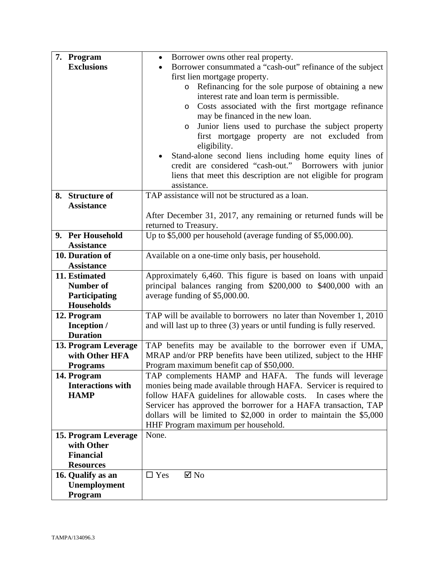| 7. Program                         | Borrower owns other real property.<br>$\bullet$                         |  |  |  |
|------------------------------------|-------------------------------------------------------------------------|--|--|--|
| <b>Exclusions</b>                  | Borrower consummated a "cash-out" refinance of the subject              |  |  |  |
|                                    | first lien mortgage property.                                           |  |  |  |
|                                    | Refinancing for the sole purpose of obtaining a new<br>$\circ$          |  |  |  |
|                                    | interest rate and loan term is permissible.                             |  |  |  |
|                                    | Costs associated with the first mortgage refinance<br>$\circ$           |  |  |  |
|                                    | may be financed in the new loan.                                        |  |  |  |
|                                    | Junior liens used to purchase the subject property<br>$\circ$           |  |  |  |
|                                    | first mortgage property are not excluded from                           |  |  |  |
|                                    | eligibility.                                                            |  |  |  |
|                                    | Stand-alone second liens including home equity lines of                 |  |  |  |
|                                    | credit are considered "cash-out." Borrowers with junior                 |  |  |  |
|                                    | liens that meet this description are not eligible for program           |  |  |  |
|                                    | assistance.                                                             |  |  |  |
| 8. Structure of                    | TAP assistance will not be structured as a loan.                        |  |  |  |
| <b>Assistance</b>                  |                                                                         |  |  |  |
|                                    | After December 31, 2017, any remaining or returned funds will be        |  |  |  |
|                                    | returned to Treasury.                                                   |  |  |  |
| 9. Per Household                   | Up to \$5,000 per household (average funding of \$5,000.00).            |  |  |  |
| <b>Assistance</b>                  |                                                                         |  |  |  |
| 10. Duration of                    | Available on a one-time only basis, per household.                      |  |  |  |
| <b>Assistance</b>                  |                                                                         |  |  |  |
| 11. Estimated                      | Approximately 6,460. This figure is based on loans with unpaid          |  |  |  |
| Number of                          | principal balances ranging from \$200,000 to \$400,000 with an          |  |  |  |
| Participating<br><b>Households</b> | average funding of \$5,000.00.                                          |  |  |  |
| 12. Program                        | TAP will be available to borrowers no later than November 1, 2010       |  |  |  |
| Inception /                        | and will last up to three (3) years or until funding is fully reserved. |  |  |  |
| <b>Duration</b>                    |                                                                         |  |  |  |
| 13. Program Leverage               | TAP benefits may be available to the borrower even if UMA,              |  |  |  |
| with Other HFA                     | MRAP and/or PRP benefits have been utilized, subject to the HHF         |  |  |  |
| <b>Programs</b>                    | Program maximum benefit cap of \$50,000.                                |  |  |  |
| 14. Program                        | TAP complements HAMP and HAFA. The funds will leverage                  |  |  |  |
| <b>Interactions with</b>           | monies being made available through HAFA. Servicer is required to       |  |  |  |
| <b>HAMP</b>                        | follow HAFA guidelines for allowable costs. In cases where the          |  |  |  |
|                                    | Servicer has approved the borrower for a HAFA transaction, TAP          |  |  |  |
|                                    | dollars will be limited to $$2,000$ in order to maintain the $$5,000$   |  |  |  |
|                                    | HHF Program maximum per household.                                      |  |  |  |
| 15. Program Leverage               | None.                                                                   |  |  |  |
| with Other                         |                                                                         |  |  |  |
| <b>Financial</b>                   |                                                                         |  |  |  |
| <b>Resources</b>                   |                                                                         |  |  |  |
| 16. Qualify as an                  | $\Box$ Yes<br>$\boxtimes$ No                                            |  |  |  |
| Unemployment                       |                                                                         |  |  |  |
| Program                            |                                                                         |  |  |  |